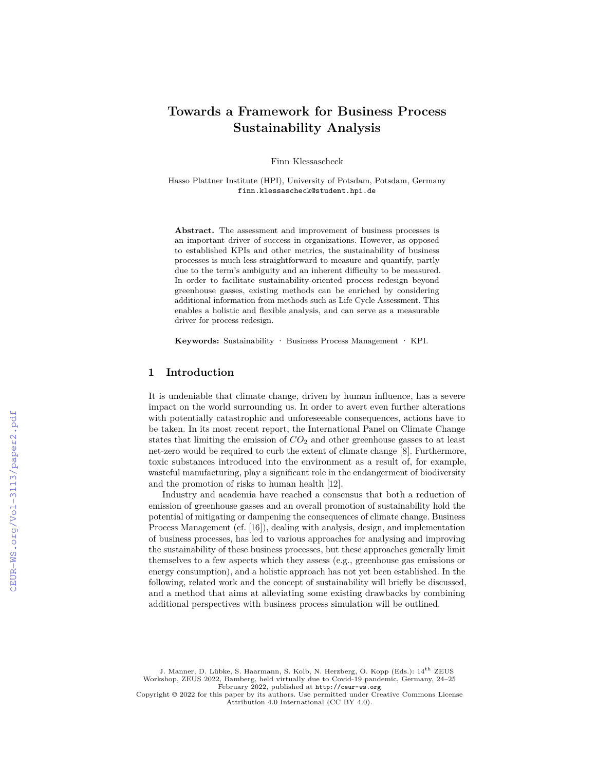# **Towards a Framework for Business Process Sustainability Analysis**

Finn Klessascheck

Hasso Plattner Institute (HPI), University of Potsdam, Potsdam, Germany finn.klessascheck@student.hpi.de

**Abstract.** The assessment and improvement of business processes is an important driver of success in organizations. However, as opposed to established KPIs and other metrics, the sustainability of business processes is much less straightforward to measure and quantify, partly due to the term's ambiguity and an inherent difficulty to be measured. In order to facilitate sustainability-oriented process redesign beyond greenhouse gasses, existing methods can be enriched by considering additional information from methods such as Life Cycle Assessment. This enables a holistic and flexible analysis, and can serve as a measurable driver for process redesign.

**Keywords:** Sustainability · Business Process Management · KPI.

### **1 Introduction**

It is undeniable that climate change, driven by human influence, has a severe impact on the world surrounding us. In order to avert even further alterations with potentially catastrophic and unforeseeable consequences, actions have to be taken. In its most recent report, the International Panel on Climate Change states that limiting the emission of  $CO<sub>2</sub>$  and other greenhouse gasses to at least net-zero would be required to curb the extent of climate change [8]. Furthermore, toxic substances introduced into the environment as a result of, for example, wasteful manufacturing, play a significant role in the endangerment of biodiversity and the promotion of risks to human health [12].

Industry and academia have reached a consensus that both a reduction of emission of greenhouse gasses and an overall promotion of sustainability hold the potential of mitigating or dampening the consequences of climate change. Business Process Management (cf. [16]), dealing with analysis, design, and implementation of business processes, has led to various approaches for analysing and improving the sustainability of these business processes, but these approaches generally limit themselves to a few aspects which they assess (e.g., greenhouse gas emissions or energy consumption), and a holistic approach has not yet been established. In the following, related work and the concept of sustainability will briefly be discussed, and a method that aims at alleviating some existing drawbacks by combining additional perspectives with business process simulation will be outlined.

J. Manner, D. Lübke, S. Haarmann, S. Kolb, N. Herzberg, O. Kopp (Eds.): 14th ZEUS Workshop, ZEUS 2022, Bamberg, held virtually due to Covid-19 pandemic, Germany, 24–25 February 2022, published at <http://ceur-ws.org>

Copyright © 2022 for this paper by its authors. Use permitted under Creative Commons License Attribution 4.0 International (CC BY 4.0).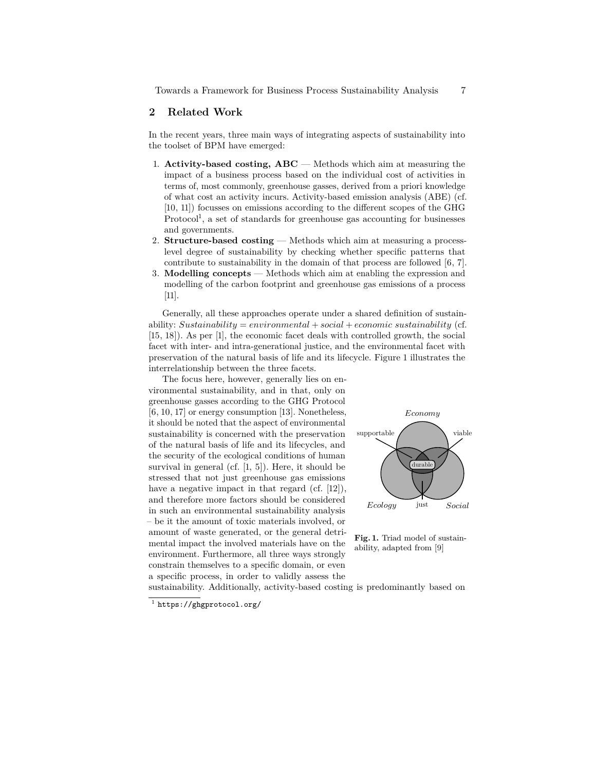# **2 Related Work**

In the recent years, three main ways of integrating aspects of sustainability into the toolset of BPM have emerged:

- 1. **Activity-based costing, ABC** Methods which aim at measuring the impact of a business process based on the individual cost of activities in terms of, most commonly, greenhouse gasses, derived from a priori knowledge of what cost an activity incurs. Activity-based emission analysis (ABE) (cf. [10, 11]) focusses on emissions according to the different scopes of the GHG Protocol<sup>1</sup>, a set of standards for greenhouse gas accounting for businesses and governments.
- 2. **Structure-based costing** Methods which aim at measuring a processlevel degree of sustainability by checking whether specific patterns that contribute to sustainability in the domain of that process are followed [6, 7].
- 3. **Modelling concepts** Methods which aim at enabling the expression and modelling of the carbon footprint and greenhouse gas emissions of a process [11].

Generally, all these approaches operate under a shared definition of sustainability: *Sustainability* = *environmental* + *social* + *economic sustainability* (cf. [15, 18]). As per [1], the economic facet deals with controlled growth, the social facet with inter- and intra-generational justice, and the environmental facet with preservation of the natural basis of life and its lifecycle. Figure 1 illustrates the interrelationship between the three facets.

The focus here, however, generally lies on environmental sustainability, and in that, only on greenhouse gasses according to the GHG Protocol [6, 10, 17] or energy consumption [13]. Nonetheless, it should be noted that the aspect of environmental sustainability is concerned with the preservation of the natural basis of life and its lifecycles, and the security of the ecological conditions of human survival in general (cf. [1, 5]). Here, it should be stressed that not just greenhouse gas emissions have a negative impact in that regard (cf. [12]), and therefore more factors should be considered in such an environmental sustainability analysis – be it the amount of toxic materials involved, or amount of waste generated, or the general detrimental impact the involved materials have on the environment. Furthermore, all three ways strongly constrain themselves to a specific domain, or even a specific process, in order to validly assess the



**Fig. 1.** Triad model of sustainability, adapted from [9]

sustainability. Additionally, activity-based costing is predominantly based on

 $^{\rm 1}$  <https://ghgprotocol.org/>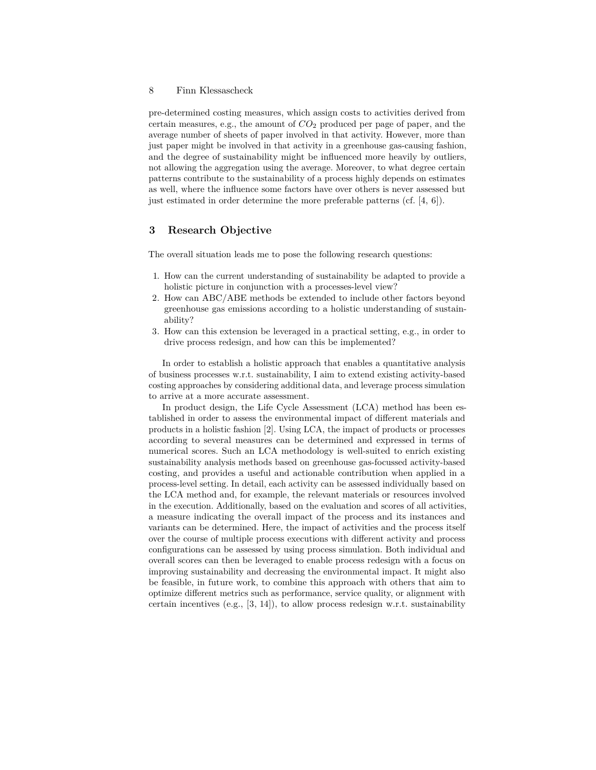#### 8 Finn Klessascheck

pre-determined costing measures, which assign costs to activities derived from certain measures, e.g., the amount of  $CO<sub>2</sub>$  produced per page of paper, and the average number of sheets of paper involved in that activity. However, more than just paper might be involved in that activity in a greenhouse gas-causing fashion, and the degree of sustainability might be influenced more heavily by outliers, not allowing the aggregation using the average. Moreover, to what degree certain patterns contribute to the sustainability of a process highly depends on estimates as well, where the influence some factors have over others is never assessed but just estimated in order determine the more preferable patterns  $(cf. [4, 6])$ .

### **3 Research Objective**

The overall situation leads me to pose the following research questions:

- 1. How can the current understanding of sustainability be adapted to provide a holistic picture in conjunction with a processes-level view?
- 2. How can ABC/ABE methods be extended to include other factors beyond greenhouse gas emissions according to a holistic understanding of sustainability?
- 3. How can this extension be leveraged in a practical setting, e.g., in order to drive process redesign, and how can this be implemented?

In order to establish a holistic approach that enables a quantitative analysis of business processes w.r.t. sustainability, I aim to extend existing activity-based costing approaches by considering additional data, and leverage process simulation to arrive at a more accurate assessment.

In product design, the Life Cycle Assessment (LCA) method has been established in order to assess the environmental impact of different materials and products in a holistic fashion [2]. Using LCA, the impact of products or processes according to several measures can be determined and expressed in terms of numerical scores. Such an LCA methodology is well-suited to enrich existing sustainability analysis methods based on greenhouse gas-focussed activity-based costing, and provides a useful and actionable contribution when applied in a process-level setting. In detail, each activity can be assessed individually based on the LCA method and, for example, the relevant materials or resources involved in the execution. Additionally, based on the evaluation and scores of all activities, a measure indicating the overall impact of the process and its instances and variants can be determined. Here, the impact of activities and the process itself over the course of multiple process executions with different activity and process configurations can be assessed by using process simulation. Both individual and overall scores can then be leveraged to enable process redesign with a focus on improving sustainability and decreasing the environmental impact. It might also be feasible, in future work, to combine this approach with others that aim to optimize different metrics such as performance, service quality, or alignment with certain incentives (e.g.,  $[3, 14]$ ), to allow process redesign w.r.t. sustainability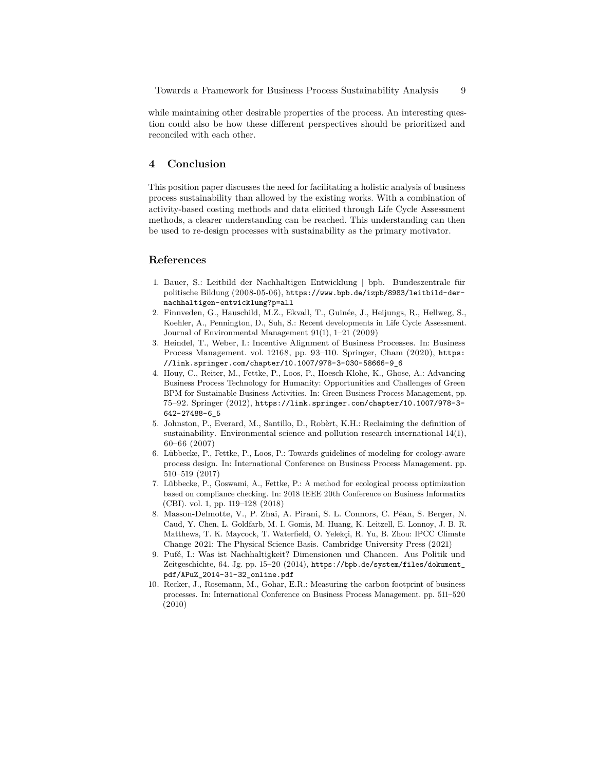while maintaining other desirable properties of the process. An interesting question could also be how these different perspectives should be prioritized and reconciled with each other.

# **4 Conclusion**

This position paper discusses the need for facilitating a holistic analysis of business process sustainability than allowed by the existing works. With a combination of activity-based costing methods and data elicited through Life Cycle Assessment methods, a clearer understanding can be reached. This understanding can then be used to re-design processes with sustainability as the primary motivator.

# **References**

- 1. Bauer, S.: Leitbild der Nachhaltigen Entwicklung | bpb. Bundeszentrale für politische Bildung (2008-05-06), [https://www.bpb.de/izpb/8983/leitbild-der](https://www.bpb.de/izpb/8983/leitbild-der-nachhaltigen-entwicklung?p=all)[nachhaltigen-entwicklung?p=all](https://www.bpb.de/izpb/8983/leitbild-der-nachhaltigen-entwicklung?p=all)
- 2. Finnveden, G., Hauschild, M.Z., Ekvall, T., Guinée, J., Heijungs, R., Hellweg, S., Koehler, A., Pennington, D., Suh, S.: Recent developments in Life Cycle Assessment. Journal of Environmental Management 91(1), 1–21 (2009)
- 3. Heindel, T., Weber, I.: Incentive Alignment of Business Processes. In: Business Process Management. vol. 12168, pp. 93–110. Springer, Cham (2020), [https:](https://link.springer.com/chapter/10.1007/978-3-030-58666-9_6) [//link.springer.com/chapter/10.1007/978-3-030-58666-9\\_6](https://link.springer.com/chapter/10.1007/978-3-030-58666-9_6)
- 4. Houy, C., Reiter, M., Fettke, P., Loos, P., Hoesch-Klohe, K., Ghose, A.: Advancing Business Process Technology for Humanity: Opportunities and Challenges of Green BPM for Sustainable Business Activities. In: Green Business Process Management, pp. 75–92. Springer (2012), [https://link.springer.com/chapter/10.1007/978-3-](https://link.springer.com/chapter/10.1007/978-3-642-27488-6_5) [642-27488-6\\_5](https://link.springer.com/chapter/10.1007/978-3-642-27488-6_5)
- 5. Johnston, P., Everard, M., Santillo, D., Robèrt, K.H.: Reclaiming the definition of sustainability. Environmental science and pollution research international 14(1), 60–66 (2007)
- 6. Lübbecke, P., Fettke, P., Loos, P.: Towards guidelines of modeling for ecology-aware process design. In: International Conference on Business Process Management. pp. 510–519 (2017)
- 7. Lübbecke, P., Goswami, A., Fettke, P.: A method for ecological process optimization based on compliance checking. In: 2018 IEEE 20th Conference on Business Informatics (CBI). vol. 1, pp. 119–128 (2018)
- 8. Masson-Delmotte, V., P. Zhai, A. Pirani, S. L. Connors, C. Péan, S. Berger, N. Caud, Y. Chen, L. Goldfarb, M. I. Gomis, M. Huang, K. Leitzell, E. Lonnoy, J. B. R. Matthews, T. K. Maycock, T. Waterfield, O. Yelekçi, R. Yu, B. Zhou: IPCC Climate Change 2021: The Physical Science Basis. Cambridge University Press (2021)
- 9. Pufé, I.: Was ist Nachhaltigkeit? Dimensionen und Chancen. Aus Politik und Zeitgeschichte, 64. Jg. pp. 15–20 (2014), [https://bpb.de/system/files/dokument\\_](https://bpb.de/system/files/dokument_pdf/APuZ_2014-31-32_online.pdf) [pdf/APuZ\\_2014-31-32\\_online.pdf](https://bpb.de/system/files/dokument_pdf/APuZ_2014-31-32_online.pdf)
- 10. Recker, J., Rosemann, M., Gohar, E.R.: Measuring the carbon footprint of business processes. In: International Conference on Business Process Management. pp. 511–520 (2010)